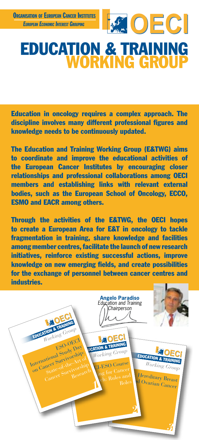l



## Education & Training RKING GRO

Education in oncology requires a complex approach. The discipline involves many different professional figures and knowledge needs to be continuously updated.

The Education and Training Working Group (E&TWG) aims to coordinate and improve the educational activities of the European Cancer Institutes by encouraging closer relationships and professional collaborations among OECI members and establishing links with relevant external bodies, such as the European School of Oncology, ECCO, ESMO and EACR among others.

Through the activities of the E&TWG, the OECI hopes to create a European Area for E&T in oncology to tackle fragmentation in training, share knowledge and facilities among member centres, facilitate the launch of new research initiatives, reinforce existing successful actions, improve knowledge on new emerging fields, and create possibilities for the exchange of personnel between cancer centres and industries.